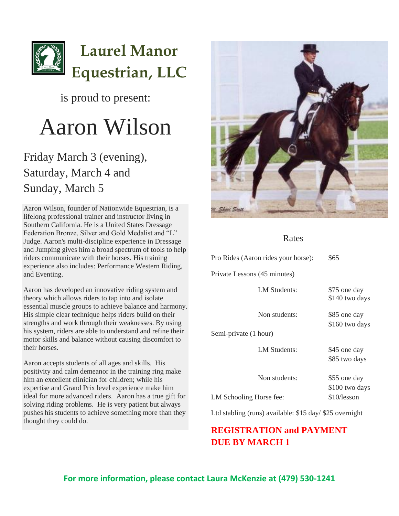

### is proud to present:

# Aaron Wilson

## Friday March 3 (evening), Saturday, March 4 and Sunday, March 5

Aaron Wilson, founder of Nationwide Equestrian, is a lifelong professional trainer and instructor living in Southern California. He is a United States Dressage Federation Bronze, Silver and Gold Medalist and "L" Judge. Aaron's multi-discipline experience in Dressage and Jumping gives him a broad spectrum of tools to help riders communicate with their horses. His training experience also includes: Performance Western Riding, and Eventing.

Aaron has developed an innovative riding system and theory which allows riders to tap into and isolate essential muscle groups to achieve balance and harmony. His simple clear technique helps riders build on their strengths and work through their weaknesses. By using his system, riders are able to understand and refine their motor skills and balance without causing discomfort to their horses.

Aaron accepts students of all ages and skills. His positivity and calm demeanor in the training ring make him an excellent clinician for children; while his expertise and Grand Prix level experience make him ideal for more advanced riders. Aaron has a true gift for solving riding problems. He is very patient but always pushes his students to achieve something more than they thought they could do.



#### Rates

| Pro Rides (Aaron rides your horse): | \$65                           |
|-------------------------------------|--------------------------------|
| Private Lessons (45 minutes)        |                                |
| LM Students:                        | \$75 one day<br>\$140 two days |
| Non students:                       | \$85 one day<br>\$160 two days |
| Semi-private (1 hour)               |                                |
| <b>LM Students:</b>                 | \$45 one day<br>\$85 two days  |
| Non students:                       | \$55 one day<br>\$100 two days |
| LM Schooling Horse fee:             | \$10/lesson                    |

Ltd stabling (runs) available: \$15 day/ \$25 overnight

#### **REGISTRATION and PAYMENT DUE BY MARCH 1**

**For more information, please contact Laura McKenzie at (479) 530-1241**